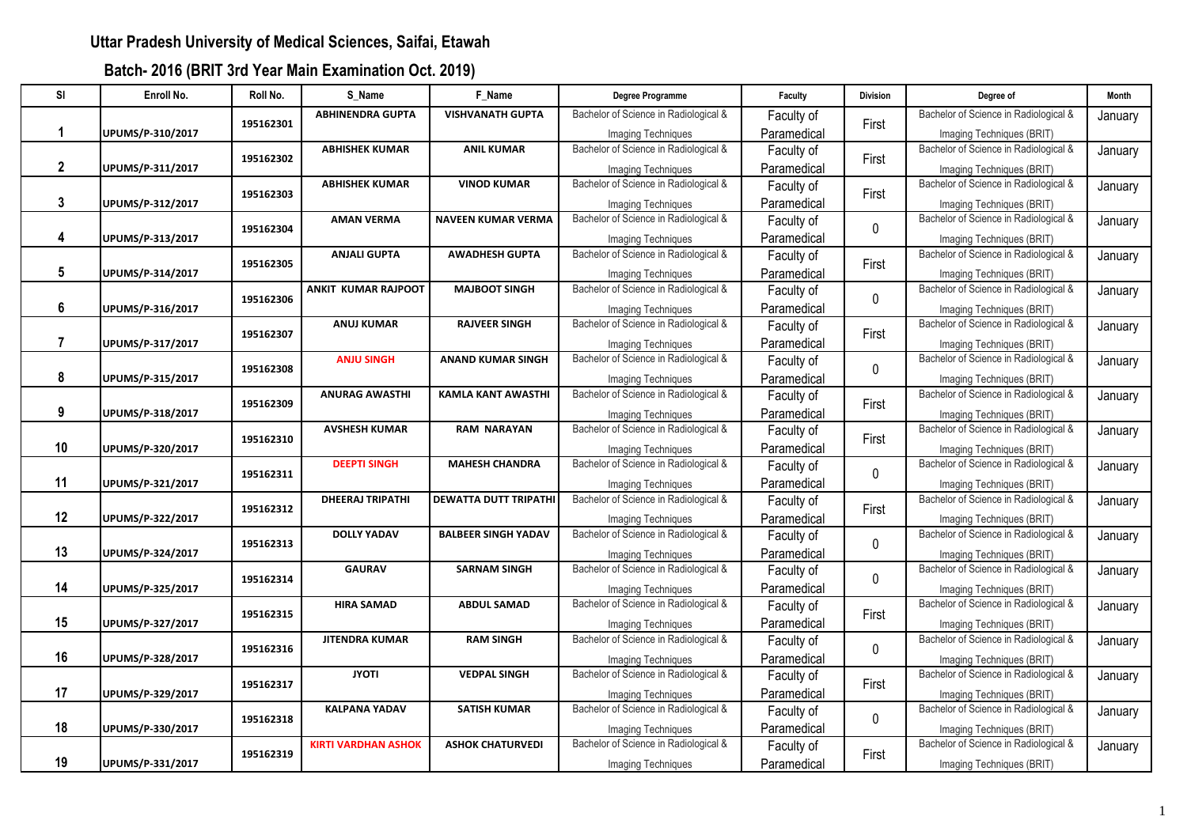| <b>SI</b>    | Enroll No.       | Roll No.  | S_Name                     | F Name                     | Degree Programme                      | Faculty     | <b>Division</b> | Degree of                             | <b>Month</b> |
|--------------|------------------|-----------|----------------------------|----------------------------|---------------------------------------|-------------|-----------------|---------------------------------------|--------------|
|              |                  |           | <b>ABHINENDRA GUPTA</b>    | <b>VISHVANATH GUPTA</b>    | Bachelor of Science in Radiological & | Faculty of  |                 | Bachelor of Science in Radiological & | January      |
| 1            | UPUMS/P-310/2017 | 195162301 |                            |                            | Imaging Techniques                    | Paramedical | First           | Imaging Techniques (BRIT)             |              |
|              |                  |           | <b>ABHISHEK KUMAR</b>      | <b>ANIL KUMAR</b>          | Bachelor of Science in Radiological & | Faculty of  |                 | Bachelor of Science in Radiological & | January      |
| $\mathbf{2}$ | UPUMS/P-311/2017 | 195162302 |                            |                            | <b>Imaging Techniques</b>             | Paramedical | First           | Imaging Techniques (BRIT)             |              |
|              |                  |           | <b>ABHISHEK KUMAR</b>      | <b>VINOD KUMAR</b>         | Bachelor of Science in Radiological & | Faculty of  | First           | Bachelor of Science in Radiological & | January      |
| 3            | UPUMS/P-312/2017 | 195162303 |                            |                            | <b>Imaging Techniques</b>             | Paramedical |                 | Imaging Techniques (BRIT)             |              |
|              |                  | 195162304 | <b>AMAN VERMA</b>          | <b>NAVEEN KUMAR VERMA</b>  | Bachelor of Science in Radiological & | Faculty of  | $\mathbf 0$     | Bachelor of Science in Radiological & | January      |
| 4            | UPUMS/P-313/2017 |           |                            |                            | <b>Imaging Techniques</b>             | Paramedical |                 | Imaging Techniques (BRIT)             |              |
|              |                  | 195162305 | <b>ANJALI GUPTA</b>        | <b>AWADHESH GUPTA</b>      | Bachelor of Science in Radiological & | Faculty of  | First           | Bachelor of Science in Radiological & | January      |
| 5            | UPUMS/P-314/2017 |           |                            |                            | Imaging Techniques                    | Paramedical |                 | Imaging Techniques (BRIT)             |              |
|              |                  | 195162306 | <b>ANKIT KUMAR RAJPOOT</b> | <b>MAJBOOT SINGH</b>       | Bachelor of Science in Radiological & | Faculty of  | $\mathbf 0$     | Bachelor of Science in Radiological & | January      |
| 6            | UPUMS/P-316/2017 |           |                            |                            | Imaging Techniques                    | Paramedical |                 | Imaging Techniques (BRIT)             |              |
|              |                  | 195162307 | <b>ANUJ KUMAR</b>          | <b>RAJVEER SINGH</b>       | Bachelor of Science in Radiological & | Faculty of  | First           | Bachelor of Science in Radiological & | January      |
| 7            | UPUMS/P-317/2017 |           |                            |                            | <b>Imaging Techniques</b>             | Paramedical |                 | Imaging Techniques (BRIT)             |              |
|              |                  | 195162308 | <b>ANJU SINGH</b>          | <b>ANAND KUMAR SINGH</b>   | Bachelor of Science in Radiological & | Faculty of  | $\pmb{0}$       | Bachelor of Science in Radiological & | January      |
| 8            | UPUMS/P-315/2017 |           |                            |                            | Imaging Techniques                    | Paramedical |                 | Imaging Techniques (BRIT)             |              |
|              |                  | 195162309 | <b>ANURAG AWASTHI</b>      | <b>KAMLA KANT AWASTHI</b>  | Bachelor of Science in Radiological & | Faculty of  | First           | Bachelor of Science in Radiological & | January      |
| 9            | UPUMS/P-318/2017 |           |                            |                            | <b>Imaging Techniques</b>             | Paramedical |                 | Imaging Techniques (BRIT)             |              |
|              |                  | 195162310 | <b>AVSHESH KUMAR</b>       | <b>RAM NARAYAN</b>         | Bachelor of Science in Radiological & | Faculty of  | First           | Bachelor of Science in Radiological & | January      |
| 10           | UPUMS/P-320/2017 |           |                            |                            | Imaging Techniques                    | Paramedical |                 | Imaging Techniques (BRIT)             |              |
|              |                  | 195162311 | <b>DEEPTI SINGH</b>        | <b>MAHESH CHANDRA</b>      | Bachelor of Science in Radiological & | Faculty of  | $\pmb{0}$       | Bachelor of Science in Radiological & | January      |
| 11           | UPUMS/P-321/2017 |           |                            |                            | Imaging Techniques                    | Paramedical |                 | Imaging Techniques (BRIT)             |              |
|              |                  | 195162312 | <b>DHEERAJ TRIPATHI</b>    | DEWATTA DUTT TRIPATHI      | Bachelor of Science in Radiological & | Faculty of  | First           | Bachelor of Science in Radiological & | January      |
| 12           | UPUMS/P-322/2017 |           |                            |                            | <b>Imaging Techniques</b>             | Paramedical |                 | Imaging Techniques (BRIT)             |              |
|              |                  | 195162313 | <b>DOLLY YADAV</b>         | <b>BALBEER SINGH YADAV</b> | Bachelor of Science in Radiological & | Faculty of  | $\pmb{0}$       | Bachelor of Science in Radiological & | January      |
| 13           | UPUMS/P-324/2017 |           |                            |                            | <b>Imaging Techniques</b>             | Paramedical |                 | Imaging Techniques (BRIT)             |              |
|              |                  | 195162314 | <b>GAURAV</b>              | <b>SARNAM SINGH</b>        | Bachelor of Science in Radiological & | Faculty of  | $\pmb{0}$       | Bachelor of Science in Radiological & | January      |
| 14           | UPUMS/P-325/2017 |           |                            |                            | <b>Imaging Techniques</b>             | Paramedical |                 | Imaging Techniques (BRIT)             |              |
|              |                  | 195162315 | <b>HIRA SAMAD</b>          | <b>ABDUL SAMAD</b>         | Bachelor of Science in Radiological & | Faculty of  | First           | Bachelor of Science in Radiological & | January      |
| 15           | UPUMS/P-327/2017 |           |                            |                            | Imaging Techniques                    | Paramedical |                 | Imaging Techniques (BRIT)             |              |
|              |                  | 195162316 | <b>JITENDRA KUMAR</b>      | <b>RAM SINGH</b>           | Bachelor of Science in Radiological & | Faculty of  | $\mathbf 0$     | Bachelor of Science in Radiological & | January      |
| 16           | UPUMS/P-328/2017 |           |                            |                            | Imaging Techniques                    | Paramedical |                 | Imaging Techniques (BRIT)             |              |
|              |                  | 195162317 | <b>JYOTI</b>               | <b>VEDPAL SINGH</b>        | Bachelor of Science in Radiological & | Faculty of  | First           | Bachelor of Science in Radiological & | January      |
| 17           | UPUMS/P-329/2017 |           |                            |                            | <b>Imaging Techniques</b>             | Paramedical |                 | Imaging Techniques (BRIT)             |              |
|              |                  | 195162318 | <b>KALPANA YADAV</b>       | <b>SATISH KUMAR</b>        | Bachelor of Science in Radiological & | Faculty of  | $\mathbf 0$     | Bachelor of Science in Radiological & | January      |
| 18           | UPUMS/P-330/2017 |           |                            |                            | <b>Imaging Techniques</b>             | Paramedical |                 | Imaging Techniques (BRIT)             |              |
|              |                  | 195162319 | <b>KIRTI VARDHAN ASHOK</b> | <b>ASHOK CHATURVEDI</b>    | Bachelor of Science in Radiological & | Faculty of  | First           | Bachelor of Science in Radiological & | January      |
| 19           | UPUMS/P-331/2017 |           |                            |                            | Imaging Techniques                    | Paramedical |                 | Imaging Techniques (BRIT)             |              |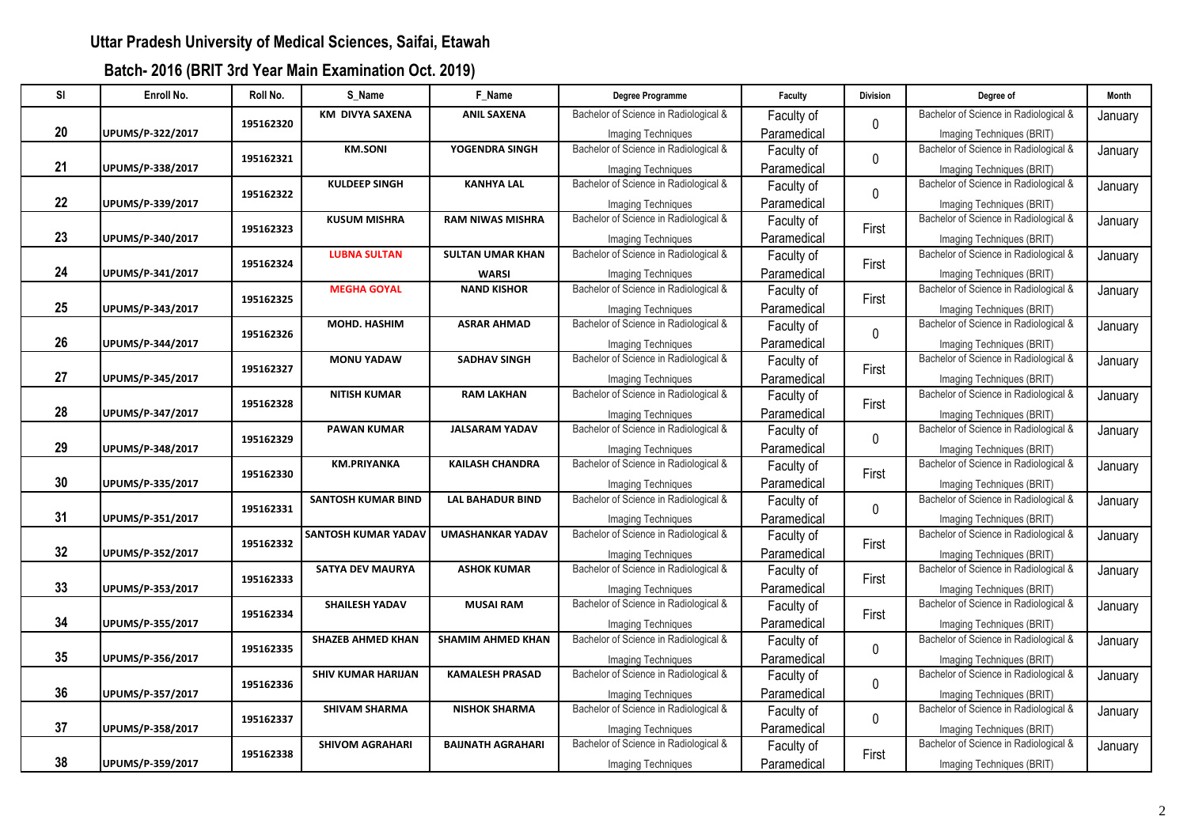| <b>SI</b> | Enroll No.       | Roll No.  | S_Name                     | F Name                   | Degree Programme                      | Faculty     | <b>Division</b> | Degree of                             | <b>Month</b> |
|-----------|------------------|-----------|----------------------------|--------------------------|---------------------------------------|-------------|-----------------|---------------------------------------|--------------|
|           |                  |           | <b>KM DIVYA SAXENA</b>     | <b>ANIL SAXENA</b>       | Bachelor of Science in Radiological & | Faculty of  |                 | Bachelor of Science in Radiological & | January      |
| 20        | UPUMS/P-322/2017 | 195162320 |                            |                          | Imaging Techniques                    | Paramedical | $\mathbf 0$     | Imaging Techniques (BRIT)             |              |
|           |                  |           | <b>KM.SONI</b>             | YOGENDRA SINGH           | Bachelor of Science in Radiological & | Faculty of  |                 | Bachelor of Science in Radiological & | January      |
| 21        | UPUMS/P-338/2017 | 195162321 |                            |                          | <b>Imaging Techniques</b>             | Paramedical | $\mathbf 0$     | Imaging Techniques (BRIT)             |              |
|           |                  |           | <b>KULDEEP SINGH</b>       | <b>KANHYA LAL</b>        | Bachelor of Science in Radiological & | Faculty of  | $\pmb{0}$       | Bachelor of Science in Radiological & | January      |
| 22        | UPUMS/P-339/2017 | 195162322 |                            |                          | Imaging Techniques                    | Paramedical |                 | Imaging Techniques (BRIT)             |              |
|           |                  | 195162323 | <b>KUSUM MISHRA</b>        | <b>RAM NIWAS MISHRA</b>  | Bachelor of Science in Radiological & | Faculty of  | First           | Bachelor of Science in Radiological & | January      |
| 23        | UPUMS/P-340/2017 |           |                            |                          | <b>Imaging Techniques</b>             | Paramedical |                 | Imaging Techniques (BRIT)             |              |
|           |                  | 195162324 | <b>LUBNA SULTAN</b>        | <b>SULTAN UMAR KHAN</b>  | Bachelor of Science in Radiological & | Faculty of  | First           | Bachelor of Science in Radiological & | January      |
| 24        | UPUMS/P-341/2017 |           |                            | <b>WARSI</b>             | Imaging Techniques                    | Paramedical |                 | Imaging Techniques (BRIT)             |              |
|           |                  | 195162325 | <b>MEGHA GOYAL</b>         | <b>NAND KISHOR</b>       | Bachelor of Science in Radiological & | Faculty of  | First           | Bachelor of Science in Radiological & | January      |
| 25        | UPUMS/P-343/2017 |           |                            |                          | Imaging Techniques                    | Paramedical |                 | Imaging Techniques (BRIT)             |              |
|           |                  | 195162326 | MOHD. HASHIM               | <b>ASRAR AHMAD</b>       | Bachelor of Science in Radiological & | Faculty of  | $\mathbf 0$     | Bachelor of Science in Radiological & | January      |
| 26        | UPUMS/P-344/2017 |           |                            |                          | <b>Imaging Techniques</b>             | Paramedical |                 | Imaging Techniques (BRIT)             |              |
|           |                  | 195162327 | <b>MONU YADAW</b>          | <b>SADHAV SINGH</b>      | Bachelor of Science in Radiological & | Faculty of  | First           | Bachelor of Science in Radiological & | January      |
| 27        | UPUMS/P-345/2017 |           |                            |                          | <b>Imaging Techniques</b>             | Paramedical |                 | Imaging Techniques (BRIT)             |              |
|           |                  | 195162328 | <b>NITISH KUMAR</b>        | <b>RAM LAKHAN</b>        | Bachelor of Science in Radiological & | Faculty of  | First           | Bachelor of Science in Radiological & | January      |
| 28        | UPUMS/P-347/2017 |           |                            |                          | Imaging Techniques                    | Paramedical |                 | Imaging Techniques (BRIT)             |              |
|           |                  | 195162329 | <b>PAWAN KUMAR</b>         | <b>JALSARAM YADAV</b>    | Bachelor of Science in Radiological & | Faculty of  | $\mathbf 0$     | Bachelor of Science in Radiological & | January      |
| 29        | UPUMS/P-348/2017 |           |                            |                          | Imaging Techniques                    | Paramedical |                 | Imaging Techniques (BRIT)             |              |
|           |                  | 195162330 | <b>KM.PRIYANKA</b>         | <b>KAILASH CHANDRA</b>   | Bachelor of Science in Radiological & | Faculty of  | First           | Bachelor of Science in Radiological & | January      |
| 30        | UPUMS/P-335/2017 |           |                            |                          | <b>Imaging Techniques</b>             | Paramedical |                 | Imaging Techniques (BRIT)             |              |
|           |                  | 195162331 | <b>SANTOSH KUMAR BIND</b>  | <b>LAL BAHADUR BIND</b>  | Bachelor of Science in Radiological & | Faculty of  | $\mathbf 0$     | Bachelor of Science in Radiological & | January      |
| 31        | UPUMS/P-351/2017 |           |                            |                          | <b>Imaging Techniques</b>             | Paramedical |                 | Imaging Techniques (BRIT)             |              |
|           |                  | 195162332 | <b>SANTOSH KUMAR YADAV</b> | <b>UMASHANKAR YADAV</b>  | Bachelor of Science in Radiological & | Faculty of  | First           | Bachelor of Science in Radiological & | January      |
| 32        | UPUMS/P-352/2017 |           |                            |                          | <b>Imaging Techniques</b>             | Paramedical |                 | Imaging Techniques (BRIT)             |              |
|           |                  | 195162333 | <b>SATYA DEV MAURYA</b>    | <b>ASHOK KUMAR</b>       | Bachelor of Science in Radiological & | Faculty of  | First           | Bachelor of Science in Radiological & | January      |
| 33        | UPUMS/P-353/2017 |           |                            |                          | Imaging Techniques                    | Paramedical |                 | Imaging Techniques (BRIT)             |              |
|           |                  | 195162334 | <b>SHAILESH YADAV</b>      | <b>MUSAI RAM</b>         | Bachelor of Science in Radiological & | Faculty of  | First           | Bachelor of Science in Radiological & | January      |
| 34        | UPUMS/P-355/2017 |           |                            |                          | Imaging Techniques                    | Paramedical |                 | Imaging Techniques (BRIT)             |              |
|           |                  | 195162335 | <b>SHAZEB AHMED KHAN</b>   | <b>SHAMIM AHMED KHAN</b> | Bachelor of Science in Radiological & | Faculty of  | $\mathbf 0$     | Bachelor of Science in Radiological & | January      |
| 35        | UPUMS/P-356/2017 |           |                            |                          | Imaging Techniques                    | Paramedical |                 | Imaging Techniques (BRIT)             |              |
|           |                  | 195162336 | <b>SHIV KUMAR HARIJAN</b>  | <b>KAMALESH PRASAD</b>   | Bachelor of Science in Radiological & | Faculty of  | $\mathbf 0$     | Bachelor of Science in Radiological & | January      |
| 36        | UPUMS/P-357/2017 |           |                            |                          | Imaging Techniques                    | Paramedical |                 | Imaging Techniques (BRIT)             |              |
|           |                  | 195162337 | <b>SHIVAM SHARMA</b>       | <b>NISHOK SHARMA</b>     | Bachelor of Science in Radiological & | Faculty of  | $\mathbf 0$     | Bachelor of Science in Radiological & | January      |
| 37        | UPUMS/P-358/2017 |           |                            |                          | <b>Imaging Techniques</b>             | Paramedical |                 | Imaging Techniques (BRIT)             |              |
|           |                  | 195162338 | <b>SHIVOM AGRAHARI</b>     | <b>BAIJNATH AGRAHARI</b> | Bachelor of Science in Radiological & | Faculty of  | First           | Bachelor of Science in Radiological & | January      |
| 38        | UPUMS/P-359/2017 |           |                            |                          | Imaging Techniques                    | Paramedical |                 | Imaging Techniques (BRIT)             |              |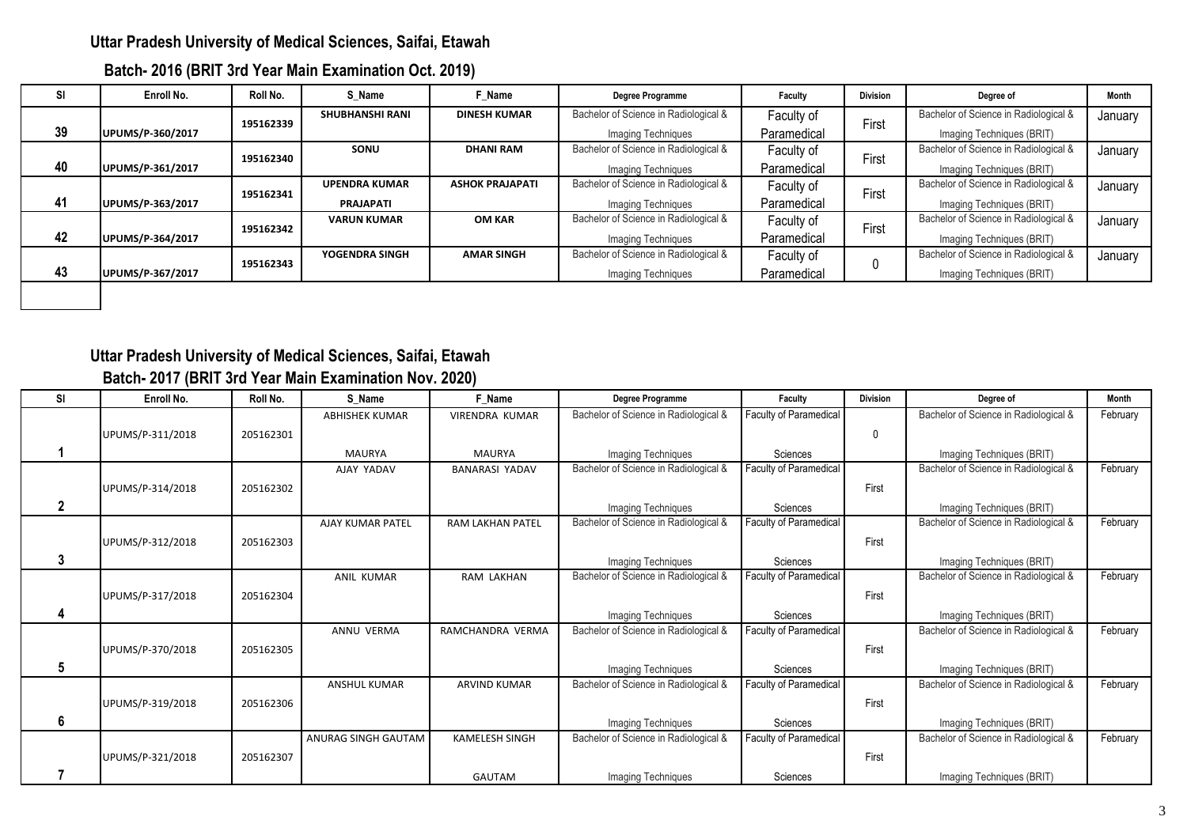| Batch- 2016 (BRIT 3rd Year Main Examination Oct. 2019) |  |  |  |
|--------------------------------------------------------|--|--|--|
|--------------------------------------------------------|--|--|--|

| <b>SI</b> | Enroll No.       | Roll No.  | S Name                 | F Name                 | Degree Programme                      | Faculty     | <b>Division</b> | Degree of                             | Month   |
|-----------|------------------|-----------|------------------------|------------------------|---------------------------------------|-------------|-----------------|---------------------------------------|---------|
|           |                  | 195162339 | <b>SHUBHANSHI RANI</b> | <b>DINESH KUMAR</b>    | Bachelor of Science in Radiological & | Faculty of  | First           | Bachelor of Science in Radiological & | January |
| 39        | UPUMS/P-360/2017 |           |                        |                        | Imaging Techniques                    | Paramedical |                 | Imaging Techniques (BRIT)             |         |
|           |                  | 195162340 | SONU                   | <b>DHANI RAM</b>       | Bachelor of Science in Radiological & | Faculty of  | First           | Bachelor of Science in Radiological & | January |
| 40        | UPUMS/P-361/2017 |           |                        |                        | Imaging Techniques                    | Paramedical |                 | Imaging Techniques (BRIT)             |         |
|           |                  | 195162341 | <b>UPENDRA KUMAR</b>   | <b>ASHOK PRAJAPATI</b> | Bachelor of Science in Radiological & | Faculty of  | First           | Bachelor of Science in Radiological & | January |
| 41        | UPUMS/P-363/2017 |           | <b>PRAJAPATI</b>       |                        | Imaging Techniques                    | Paramedical |                 | Imaging Techniques (BRIT)             |         |
|           |                  | 195162342 | <b>VARUN KUMAR</b>     | OM KAR                 | Bachelor of Science in Radiological & | Faculty of  | First           | Bachelor of Science in Radiological & | January |
| 42        | UPUMS/P-364/2017 |           |                        |                        | Imaging Techniques                    | Paramedical |                 | Imaging Techniques (BRIT)             |         |
|           |                  | 195162343 | YOGENDRA SINGH         | <b>AMAR SINGH</b>      | Bachelor of Science in Radiological & | Faculty of  |                 | Bachelor of Science in Radiological & | January |
| 43        | UPUMS/P-367/2017 |           |                        |                        | Imaging Techniques                    | Paramedical |                 | Imaging Techniques (BRIT)             |         |

## **Uttar Pradesh University of Medical Sciences, Saifai, Etawah Batch- 2017 (BRIT 3rd Year Main Examination Nov. 2020)**

| SI           | Enroll No.       | Roll No.  | S Name                  | F Name                  | Degree Programme                                            | Faculty                            | <b>Division</b> | Degree of                                                          | <b>Month</b> |
|--------------|------------------|-----------|-------------------------|-------------------------|-------------------------------------------------------------|------------------------------------|-----------------|--------------------------------------------------------------------|--------------|
|              |                  |           | <b>ABHISHEK KUMAR</b>   | <b>VIRENDRA KUMAR</b>   | Bachelor of Science in Radiological &                       | Faculty of Paramedical             |                 | Bachelor of Science in Radiological &                              | February     |
|              | UPUMS/P-311/2018 | 205162301 |                         |                         |                                                             |                                    |                 |                                                                    |              |
|              |                  |           | <b>MAURYA</b>           | <b>MAURYA</b>           | Imaging Techniques                                          | Sciences                           |                 | Imaging Techniques (BRIT)                                          |              |
|              |                  |           | AJAY YADAV              | <b>BANARASI YADAV</b>   | Bachelor of Science in Radiological &                       | Faculty of Paramedical             |                 | Bachelor of Science in Radiological &                              | February     |
|              | UPUMS/P-314/2018 | 205162302 |                         |                         |                                                             |                                    | First           |                                                                    |              |
| $\mathbf{2}$ |                  |           |                         |                         | Imaging Techniques                                          | Sciences                           |                 | Imaging Techniques (BRIT)                                          |              |
|              |                  |           | <b>AJAY KUMAR PATEL</b> | <b>RAM LAKHAN PATEL</b> | Bachelor of Science in Radiological &                       | <b>Faculty of Paramedical</b>      |                 | Bachelor of Science in Radiological &                              | February     |
|              | UPUMS/P-312/2018 | 205162303 |                         |                         |                                                             |                                    | First           |                                                                    |              |
| 3            |                  |           |                         |                         |                                                             |                                    |                 |                                                                    |              |
|              |                  |           | <b>ANIL KUMAR</b>       | RAM LAKHAN              | Imaging Techniques<br>Bachelor of Science in Radiological & | Sciences<br>Faculty of Paramedical |                 | Imaging Techniques (BRIT)<br>Bachelor of Science in Radiological & | February     |
|              |                  |           |                         |                         |                                                             |                                    |                 |                                                                    |              |
|              | UPUMS/P-317/2018 | 205162304 |                         |                         |                                                             |                                    | First           |                                                                    |              |
| 4            |                  |           |                         |                         | Imaging Techniques                                          | Sciences                           |                 | Imaging Techniques (BRIT)                                          |              |
|              |                  |           | ANNU VERMA              | RAMCHANDRA VERMA        | Bachelor of Science in Radiological &                       | Faculty of Paramedical             |                 | Bachelor of Science in Radiological &                              | February     |
|              | UPUMS/P-370/2018 | 205162305 |                         |                         |                                                             |                                    | First           |                                                                    |              |
| 5            |                  |           |                         |                         | Imaging Techniques                                          | Sciences                           |                 | Imaging Techniques (BRIT)                                          |              |
|              |                  |           | <b>ANSHUL KUMAR</b>     | <b>ARVIND KUMAR</b>     | Bachelor of Science in Radiological &                       | Faculty of Paramedical             |                 | Bachelor of Science in Radiological &                              | February     |
|              | UPUMS/P-319/2018 | 205162306 |                         |                         |                                                             |                                    | First           |                                                                    |              |
| 6            |                  |           |                         |                         |                                                             | Sciences                           |                 |                                                                    |              |
|              |                  |           | ANURAG SINGH GAUTAM     | <b>KAMELESH SINGH</b>   | Imaging Techniques<br>Bachelor of Science in Radiological & | <b>Faculty of Paramedical</b>      |                 | Imaging Techniques (BRIT)<br>Bachelor of Science in Radiological & | February     |
|              |                  |           |                         |                         |                                                             |                                    |                 |                                                                    |              |
|              | UPUMS/P-321/2018 | 205162307 |                         |                         |                                                             |                                    | First           |                                                                    |              |
|              |                  |           |                         | <b>GAUTAM</b>           | <b>Imaging Techniques</b>                                   | Sciences                           |                 | Imaging Techniques (BRIT)                                          |              |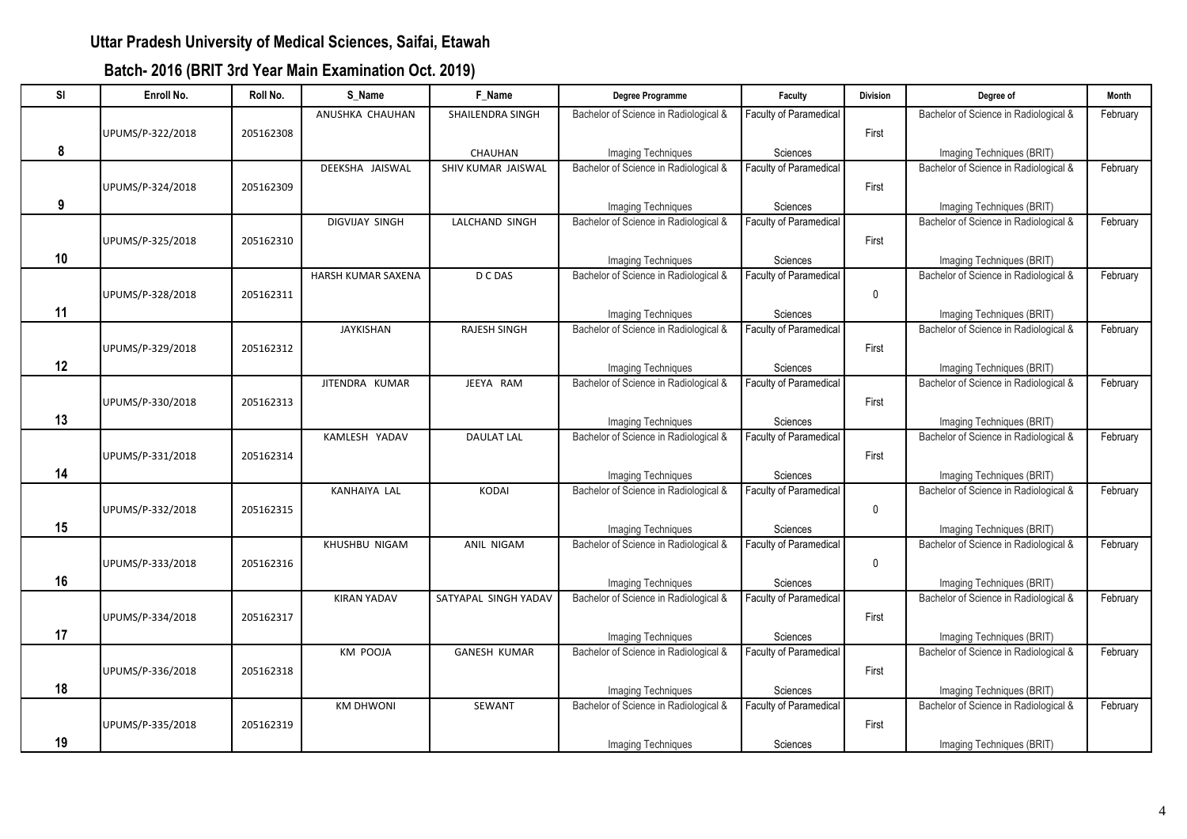| SI | Enroll No.       | Roll No.  | S Name                | F Name                  | Degree Programme                                            | Faculty                                   | <b>Division</b> | Degree of                                                          | Month    |
|----|------------------|-----------|-----------------------|-------------------------|-------------------------------------------------------------|-------------------------------------------|-----------------|--------------------------------------------------------------------|----------|
|    |                  |           | ANUSHKA CHAUHAN       | <b>SHAILENDRA SINGH</b> | Bachelor of Science in Radiological &                       | <b>Faculty of Paramedical</b>             |                 | Bachelor of Science in Radiological &                              | February |
|    | UPUMS/P-322/2018 | 205162308 |                       |                         |                                                             |                                           | First           |                                                                    |          |
| 8  |                  |           |                       | CHAUHAN                 | Imaging Techniques                                          | Sciences                                  |                 | Imaging Techniques (BRIT)                                          |          |
|    |                  |           | DEEKSHA JAISWAL       | SHIV KUMAR JAISWAL      | Bachelor of Science in Radiological &                       | <b>Faculty of Paramedical</b>             |                 | Bachelor of Science in Radiological &                              | February |
|    | UPUMS/P-324/2018 | 205162309 |                       |                         |                                                             |                                           | First           |                                                                    |          |
| 9  |                  |           |                       |                         | Imaging Techniques                                          | Sciences                                  |                 | Imaging Techniques (BRIT)                                          |          |
|    |                  |           | <b>DIGVIJAY SINGH</b> | LALCHAND SINGH          | Bachelor of Science in Radiological &                       | <b>Faculty of Paramedical</b>             |                 | Bachelor of Science in Radiological &                              | February |
|    | UPUMS/P-325/2018 | 205162310 |                       |                         |                                                             |                                           | First           |                                                                    |          |
| 10 |                  |           |                       |                         | Imaging Techniques                                          | Sciences                                  |                 | Imaging Techniques (BRIT)                                          |          |
|    |                  |           | HARSH KUMAR SAXENA    | D C DAS                 | Bachelor of Science in Radiological &                       | Faculty of Paramedical                    |                 | Bachelor of Science in Radiological &                              | February |
|    | UPUMS/P-328/2018 | 205162311 |                       |                         |                                                             |                                           | $\pmb{0}$       |                                                                    |          |
| 11 |                  |           |                       |                         | Imaging Techniques                                          | Sciences                                  |                 | Imaging Techniques (BRIT)                                          |          |
|    |                  |           | <b>JAYKISHAN</b>      | <b>RAJESH SINGH</b>     | Bachelor of Science in Radiological &                       | Faculty of Paramedical                    |                 | Bachelor of Science in Radiological &                              | February |
|    | UPUMS/P-329/2018 | 205162312 |                       |                         |                                                             |                                           | First           |                                                                    |          |
| 12 |                  |           |                       |                         |                                                             |                                           |                 |                                                                    |          |
|    |                  |           | JITENDRA KUMAR        | JEEYA RAM               | Imaging Techniques<br>Bachelor of Science in Radiological & | Sciences<br><b>Faculty of Paramedical</b> |                 | Imaging Techniques (BRIT)<br>Bachelor of Science in Radiological & | February |
|    |                  |           |                       |                         |                                                             |                                           |                 |                                                                    |          |
|    | UPUMS/P-330/2018 | 205162313 |                       |                         |                                                             |                                           | First           |                                                                    |          |
| 13 |                  |           |                       |                         | Imaging Techniques                                          | Sciences                                  |                 | Imaging Techniques (BRIT)                                          |          |
|    |                  |           | KAMLESH YADAV         | <b>DAULAT LAL</b>       | Bachelor of Science in Radiological &                       | Faculty of Paramedical                    |                 | Bachelor of Science in Radiological &                              | February |
|    | UPUMS/P-331/2018 | 205162314 |                       |                         |                                                             |                                           | First           |                                                                    |          |
| 14 |                  |           |                       |                         | Imaging Techniques                                          | Sciences                                  |                 | Imaging Techniques (BRIT)                                          |          |
|    |                  |           | KANHAIYA LAL          | <b>KODAI</b>            | Bachelor of Science in Radiological &                       | <b>Faculty of Paramedical</b>             |                 | Bachelor of Science in Radiological &                              | February |
|    | UPUMS/P-332/2018 | 205162315 |                       |                         |                                                             |                                           | $\mathbf 0$     |                                                                    |          |
| 15 |                  |           |                       |                         | Imaging Techniques                                          | Sciences                                  |                 | Imaging Techniques (BRIT)                                          |          |
|    |                  |           | KHUSHBU NIGAM         | ANIL NIGAM              | Bachelor of Science in Radiological &                       | Faculty of Paramedical                    |                 | Bachelor of Science in Radiological &                              | February |
|    | UPUMS/P-333/2018 | 205162316 |                       |                         |                                                             |                                           | $\mathbf 0$     |                                                                    |          |
| 16 |                  |           |                       |                         | Imaging Techniques                                          | Sciences                                  |                 | Imaging Techniques (BRIT)                                          |          |
|    |                  |           | <b>KIRAN YADAV</b>    | SATYAPAL SINGH YADAV    | Bachelor of Science in Radiological &                       | Faculty of Paramedical                    |                 | Bachelor of Science in Radiological &                              | February |
|    | UPUMS/P-334/2018 | 205162317 |                       |                         |                                                             |                                           | First           |                                                                    |          |
| 17 |                  |           |                       |                         | Imaging Techniques                                          | Sciences                                  |                 | Imaging Techniques (BRIT)                                          |          |
|    |                  |           | <b>KM POOJA</b>       | <b>GANESH KUMAR</b>     | Bachelor of Science in Radiological &                       | Faculty of Paramedical                    |                 | Bachelor of Science in Radiological &                              | February |
|    | UPUMS/P-336/2018 | 205162318 |                       |                         |                                                             |                                           | First           |                                                                    |          |
| 18 |                  |           |                       |                         | Imaging Techniques                                          | Sciences                                  |                 | Imaging Techniques (BRIT)                                          |          |
|    |                  |           | <b>KM DHWONI</b>      | <b>SEWANT</b>           | Bachelor of Science in Radiological &                       | <b>Faculty of Paramedical</b>             |                 | Bachelor of Science in Radiological &                              | February |
|    | UPUMS/P-335/2018 | 205162319 |                       |                         |                                                             |                                           | First           |                                                                    |          |
| 19 |                  |           |                       |                         |                                                             |                                           |                 |                                                                    |          |
|    |                  |           |                       |                         | <b>Imaging Techniques</b>                                   | Sciences                                  |                 | Imaging Techniques (BRIT)                                          |          |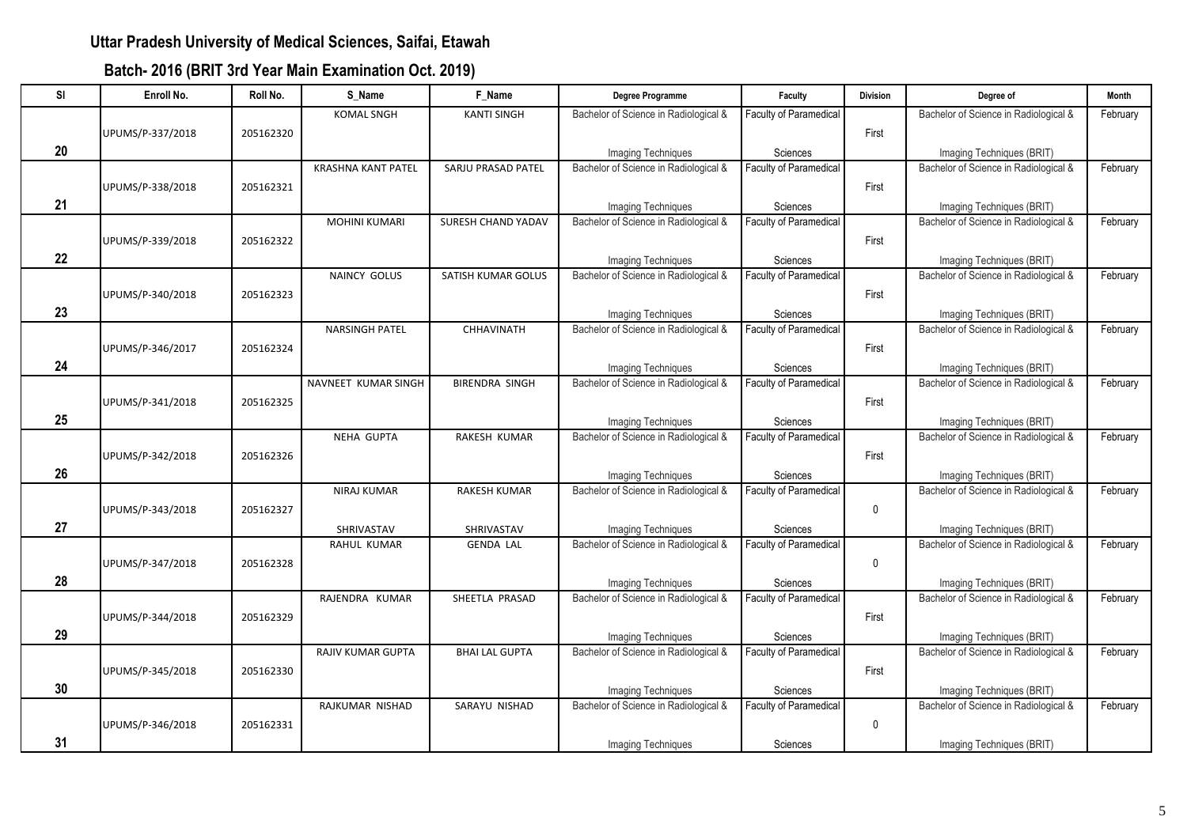| SI | Enroll No.       | Roll No.  | S_Name                    | F_Name                    | Degree Programme                      | Faculty                       | <b>Division</b> | Degree of                             | Month    |
|----|------------------|-----------|---------------------------|---------------------------|---------------------------------------|-------------------------------|-----------------|---------------------------------------|----------|
|    |                  |           | <b>KOMAL SNGH</b>         | <b>KANTI SINGH</b>        | Bachelor of Science in Radiological & | Faculty of Paramedical        |                 | Bachelor of Science in Radiological & | February |
|    | UPUMS/P-337/2018 | 205162320 |                           |                           |                                       |                               | First           |                                       |          |
| 20 |                  |           |                           |                           | Imaging Techniques                    | Sciences                      |                 | Imaging Techniques (BRIT)             |          |
|    |                  |           | <b>KRASHNA KANT PATEL</b> | SARJU PRASAD PATEL        | Bachelor of Science in Radiological & | Faculty of Paramedical        |                 | Bachelor of Science in Radiological & | February |
|    | UPUMS/P-338/2018 | 205162321 |                           |                           |                                       |                               | First           |                                       |          |
| 21 |                  |           |                           |                           | <b>Imaging Techniques</b>             | Sciences                      |                 | Imaging Techniques (BRIT)             |          |
|    |                  |           | <b>MOHINI KUMARI</b>      | <b>SURESH CHAND YADAV</b> | Bachelor of Science in Radiological & | <b>Faculty of Paramedical</b> |                 | Bachelor of Science in Radiological & | February |
|    | UPUMS/P-339/2018 | 205162322 |                           |                           |                                       |                               | First           |                                       |          |
| 22 |                  |           |                           |                           | Imaging Techniques                    | Sciences                      |                 | Imaging Techniques (BRIT)             |          |
|    |                  |           | NAINCY GOLUS              | SATISH KUMAR GOLUS        | Bachelor of Science in Radiological & | <b>Faculty of Paramedical</b> |                 | Bachelor of Science in Radiological & | February |
|    | UPUMS/P-340/2018 | 205162323 |                           |                           |                                       |                               | First           |                                       |          |
| 23 |                  |           |                           |                           | Imaging Techniques                    | Sciences                      |                 | Imaging Techniques (BRIT)             |          |
|    |                  |           | <b>NARSINGH PATEL</b>     | <b>CHHAVINATH</b>         | Bachelor of Science in Radiological & | <b>Faculty of Paramedical</b> |                 | Bachelor of Science in Radiological & | February |
|    | UPUMS/P-346/2017 | 205162324 |                           |                           |                                       |                               | First           |                                       |          |
| 24 |                  |           |                           |                           | Imaging Techniques                    | Sciences                      |                 | Imaging Techniques (BRIT)             |          |
|    |                  |           | NAVNEET KUMAR SINGH       | <b>BIRENDRA SINGH</b>     | Bachelor of Science in Radiological & | <b>Faculty of Paramedical</b> |                 | Bachelor of Science in Radiological & | February |
|    | UPUMS/P-341/2018 | 205162325 |                           |                           |                                       |                               | First           |                                       |          |
| 25 |                  |           |                           |                           | Imaging Techniques                    | Sciences                      |                 | Imaging Techniques (BRIT)             |          |
|    |                  |           | <b>NEHA GUPTA</b>         | RAKESH KUMAR              | Bachelor of Science in Radiological & | <b>Faculty of Paramedical</b> |                 | Bachelor of Science in Radiological & | February |
|    | UPUMS/P-342/2018 | 205162326 |                           |                           |                                       |                               | First           |                                       |          |
| 26 |                  |           |                           |                           | Imaging Techniques                    | Sciences                      |                 | Imaging Techniques (BRIT)             |          |
|    |                  |           | NIRAJ KUMAR               | <b>RAKESH KUMAR</b>       | Bachelor of Science in Radiological & | <b>Faculty of Paramedical</b> |                 | Bachelor of Science in Radiological & | February |
|    | UPUMS/P-343/2018 | 205162327 |                           |                           |                                       |                               | $\mathbf 0$     |                                       |          |
| 27 |                  |           | SHRIVASTAV                | SHRIVASTAV                | Imaging Techniques                    | Sciences                      |                 | Imaging Techniques (BRIT)             |          |
|    |                  |           | RAHUL KUMAR               | <b>GENDA LAL</b>          | Bachelor of Science in Radiological & | <b>Faculty of Paramedical</b> |                 | Bachelor of Science in Radiological & | February |
|    | UPUMS/P-347/2018 | 205162328 |                           |                           |                                       |                               | $\mathbf 0$     |                                       |          |
| 28 |                  |           |                           |                           | Imaging Techniques                    | Sciences                      |                 | Imaging Techniques (BRIT)             |          |
|    |                  |           | RAJENDRA KUMAR            | SHEETLA PRASAD            | Bachelor of Science in Radiological & | Faculty of Paramedical        |                 | Bachelor of Science in Radiological & | February |
|    | UPUMS/P-344/2018 | 205162329 |                           |                           |                                       |                               | First           |                                       |          |
| 29 |                  |           |                           |                           | Imaging Techniques                    | Sciences                      |                 | Imaging Techniques (BRIT)             |          |
|    |                  |           | <b>RAJIV KUMAR GUPTA</b>  | <b>BHAI LAL GUPTA</b>     | Bachelor of Science in Radiological & | <b>Faculty of Paramedical</b> |                 | Bachelor of Science in Radiological & | February |
|    | UPUMS/P-345/2018 | 205162330 |                           |                           |                                       |                               | First           |                                       |          |
| 30 |                  |           |                           |                           | Imaging Techniques                    | Sciences                      |                 | Imaging Techniques (BRIT)             |          |
|    |                  |           | RAJKUMAR NISHAD           | SARAYU NISHAD             | Bachelor of Science in Radiological & | Faculty of Paramedical        |                 | Bachelor of Science in Radiological & | February |
|    | UPUMS/P-346/2018 | 205162331 |                           |                           |                                       |                               | $\mathbf 0$     |                                       |          |
| 31 |                  |           |                           |                           | <b>Imaging Techniques</b>             | Sciences                      |                 | Imaging Techniques (BRIT)             |          |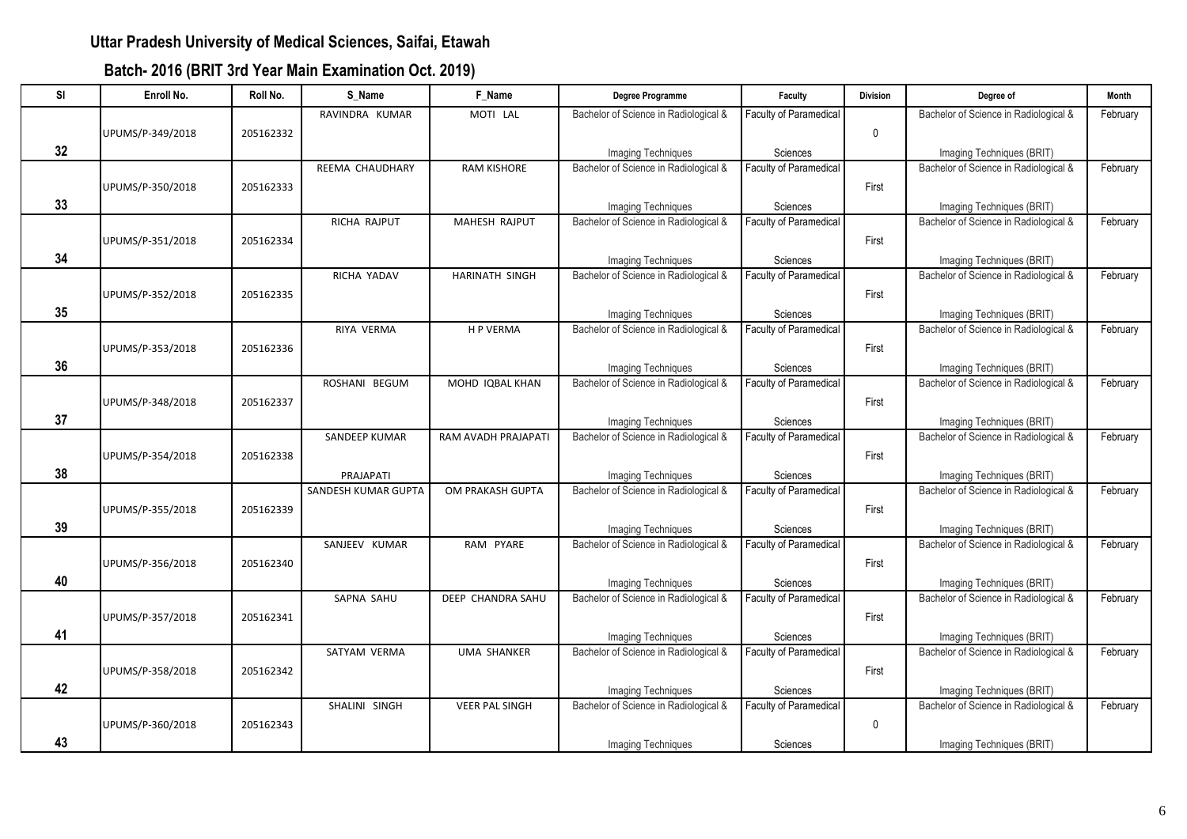| <b>SI</b> | Enroll No.       | Roll No.  | S Name                     | F Name                | Degree Programme                      | Faculty                       | <b>Division</b> | Dearee of                             | <b>Month</b> |
|-----------|------------------|-----------|----------------------------|-----------------------|---------------------------------------|-------------------------------|-----------------|---------------------------------------|--------------|
|           |                  |           | RAVINDRA KUMAR             | MOTI LAL              | Bachelor of Science in Radiological & | Faculty of Paramedical        |                 | Bachelor of Science in Radiological & | February     |
|           | UPUMS/P-349/2018 | 205162332 |                            |                       |                                       |                               | $\mathbf 0$     |                                       |              |
| 32        |                  |           |                            |                       | Imaging Techniques                    | Sciences                      |                 | Imaging Techniques (BRIT)             |              |
|           |                  |           | REEMA CHAUDHARY            | <b>RAM KISHORE</b>    | Bachelor of Science in Radiological & | Faculty of Paramedical        |                 | Bachelor of Science in Radiological & | February     |
|           | UPUMS/P-350/2018 | 205162333 |                            |                       |                                       |                               | First           |                                       |              |
| 33        |                  |           |                            |                       | Imaging Techniques                    | Sciences                      |                 | Imaging Techniques (BRIT)             |              |
|           |                  |           | RICHA RAJPUT               | MAHESH RAJPUT         | Bachelor of Science in Radiological & | <b>Faculty of Paramedical</b> |                 | Bachelor of Science in Radiological & | February     |
|           | UPUMS/P-351/2018 | 205162334 |                            |                       |                                       |                               | First           |                                       |              |
| 34        |                  |           |                            |                       | <b>Imaging Techniques</b>             | Sciences                      |                 | Imaging Techniques (BRIT)             |              |
|           |                  |           | RICHA YADAV                | HARINATH SINGH        | Bachelor of Science in Radiological & | Faculty of Paramedical        |                 | Bachelor of Science in Radiological & | February     |
|           | UPUMS/P-352/2018 | 205162335 |                            |                       |                                       |                               | First           |                                       |              |
| 35        |                  |           |                            |                       | <b>Imaging Techniques</b>             | Sciences                      |                 | Imaging Techniques (BRIT)             |              |
|           |                  |           | RIYA VERMA                 | <b>HP VERMA</b>       | Bachelor of Science in Radiological & | <b>Faculty of Paramedical</b> |                 | Bachelor of Science in Radiological & | February     |
|           | UPUMS/P-353/2018 | 205162336 |                            |                       |                                       |                               | First           |                                       |              |
| 36        |                  |           |                            |                       | <b>Imaging Techniques</b>             | Sciences                      |                 | Imaging Techniques (BRIT)             |              |
|           |                  |           | ROSHANI BEGUM              | MOHD IQBAL KHAN       | Bachelor of Science in Radiological & | Faculty of Paramedical        |                 | Bachelor of Science in Radiological & | February     |
|           | UPUMS/P-348/2018 | 205162337 |                            |                       |                                       |                               | First           |                                       |              |
| 37        |                  |           |                            |                       | Imaging Techniques                    | Sciences                      |                 | Imaging Techniques (BRIT)             |              |
|           |                  |           | <b>SANDEEP KUMAR</b>       | RAM AVADH PRAJAPATI   | Bachelor of Science in Radiological & | <b>Faculty of Paramedical</b> |                 | Bachelor of Science in Radiological & | February     |
|           | UPUMS/P-354/2018 | 205162338 |                            |                       |                                       |                               | First           |                                       |              |
| 38        |                  |           | PRAJAPATI                  |                       | Imaging Techniques                    | Sciences                      |                 | Imaging Techniques (BRIT)             |              |
|           |                  |           | <b>SANDESH KUMAR GUPTA</b> | OM PRAKASH GUPTA      | Bachelor of Science in Radiological & | <b>Faculty of Paramedical</b> |                 | Bachelor of Science in Radiological & | February     |
|           | UPUMS/P-355/2018 | 205162339 |                            |                       |                                       |                               | First           |                                       |              |
| 39        |                  |           |                            |                       | Imaging Techniques                    | Sciences                      |                 | Imaging Techniques (BRIT)             |              |
|           |                  |           | SANJEEV KUMAR              | RAM PYARE             | Bachelor of Science in Radiological & | <b>Faculty of Paramedical</b> |                 | Bachelor of Science in Radiological & | February     |
|           | UPUMS/P-356/2018 | 205162340 |                            |                       |                                       |                               | First           |                                       |              |
| 40        |                  |           |                            |                       | Imaging Techniques                    | Sciences                      |                 | Imaging Techniques (BRIT)             |              |
|           |                  |           | SAPNA SAHU                 | DEEP CHANDRA SAHU     | Bachelor of Science in Radiological & | <b>Faculty of Paramedical</b> |                 | Bachelor of Science in Radiological & | February     |
|           | UPUMS/P-357/2018 | 205162341 |                            |                       |                                       |                               | First           |                                       |              |
| 41        |                  |           |                            |                       | Imaging Techniques                    | Sciences                      |                 | Imaging Techniques (BRIT)             |              |
|           |                  |           | SATYAM VERMA               | UMA SHANKER           | Bachelor of Science in Radiological & | <b>Faculty of Paramedical</b> |                 | Bachelor of Science in Radiological & | February     |
|           | UPUMS/P-358/2018 | 205162342 |                            |                       |                                       |                               | First           |                                       |              |
| 42        |                  |           |                            |                       | Imaging Techniques                    | Sciences                      |                 | Imaging Techniques (BRIT)             |              |
|           |                  |           | SHALINI SINGH              | <b>VEER PAL SINGH</b> | Bachelor of Science in Radiological & | Faculty of Paramedical        |                 | Bachelor of Science in Radiological & | February     |
|           | UPUMS/P-360/2018 | 205162343 |                            |                       |                                       |                               | $\mathbf 0$     |                                       |              |
| 43        |                  |           |                            |                       | <b>Imaging Techniques</b>             | Sciences                      |                 | Imaging Techniques (BRIT)             |              |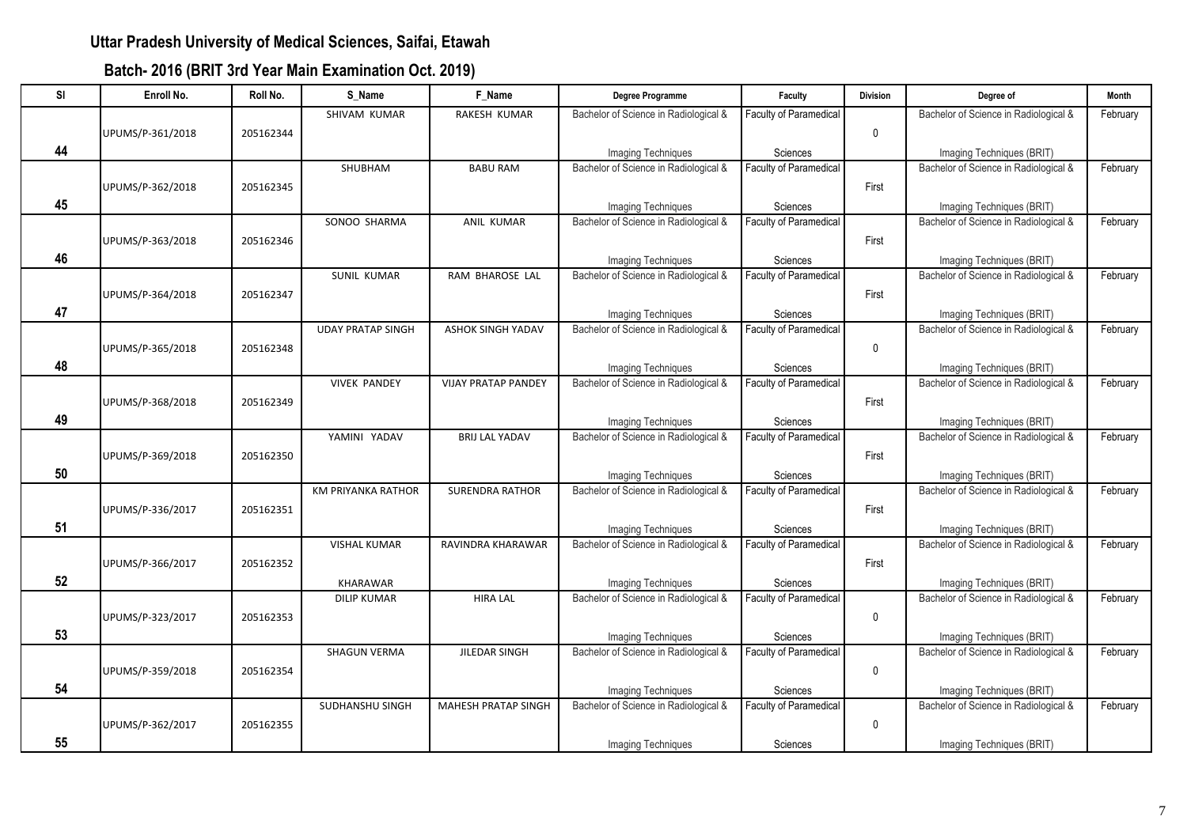| SI | Enroll No.       | Roll No.  | S Name                    | F Name                     | Degree Programme                      | Faculty                       | <b>Division</b> | Degree of                             | Month    |
|----|------------------|-----------|---------------------------|----------------------------|---------------------------------------|-------------------------------|-----------------|---------------------------------------|----------|
|    |                  |           | SHIVAM KUMAR              | RAKESH KUMAR               | Bachelor of Science in Radiological & | Faculty of Paramedical        |                 | Bachelor of Science in Radiological & | February |
|    | UPUMS/P-361/2018 | 205162344 |                           |                            |                                       |                               | $\mathbf 0$     |                                       |          |
| 44 |                  |           |                           |                            | <b>Imaging Techniques</b>             | Sciences                      |                 | Imaging Techniques (BRIT)             |          |
|    |                  |           | SHUBHAM                   | <b>BABU RAM</b>            | Bachelor of Science in Radiological & | Faculty of Paramedical        |                 | Bachelor of Science in Radiological & | February |
|    | UPUMS/P-362/2018 | 205162345 |                           |                            |                                       |                               | First           |                                       |          |
| 45 |                  |           |                           |                            | <b>Imaging Techniques</b>             | Sciences                      |                 | Imaging Techniques (BRIT)             |          |
|    |                  |           | SONOO SHARMA              | ANIL KUMAR                 | Bachelor of Science in Radiological & | <b>Faculty of Paramedical</b> |                 | Bachelor of Science in Radiological & | February |
|    | UPUMS/P-363/2018 | 205162346 |                           |                            |                                       |                               | First           |                                       |          |
| 46 |                  |           |                           |                            | Imaging Techniques                    | Sciences                      |                 | Imaging Techniques (BRIT)             |          |
|    |                  |           | <b>SUNIL KUMAR</b>        | RAM BHAROSE LAL            | Bachelor of Science in Radiological & | <b>Faculty of Paramedical</b> |                 | Bachelor of Science in Radiological & | February |
|    | UPUMS/P-364/2018 | 205162347 |                           |                            |                                       |                               | First           |                                       |          |
| 47 |                  |           |                           |                            | Imaging Techniques                    | Sciences                      |                 | Imaging Techniques (BRIT)             |          |
|    |                  |           | <b>UDAY PRATAP SINGH</b>  | <b>ASHOK SINGH YADAV</b>   | Bachelor of Science in Radiological & | <b>Faculty of Paramedical</b> |                 | Bachelor of Science in Radiological & | February |
|    | UPUMS/P-365/2018 | 205162348 |                           |                            |                                       |                               | $\mathbf 0$     |                                       |          |
| 48 |                  |           |                           |                            | Imaging Techniques                    | Sciences                      |                 | Imaging Techniques (BRIT)             |          |
|    |                  |           | <b>VIVEK PANDEY</b>       | <b>VIJAY PRATAP PANDEY</b> | Bachelor of Science in Radiological & | <b>Faculty of Paramedical</b> |                 | Bachelor of Science in Radiological & | February |
|    | UPUMS/P-368/2018 | 205162349 |                           |                            |                                       |                               | First           |                                       |          |
| 49 |                  |           |                           |                            | Imaging Techniques                    | Sciences                      |                 | Imaging Techniques (BRIT)             |          |
|    |                  |           | YAMINI YADAV              | <b>BRIJ LAL YADAV</b>      | Bachelor of Science in Radiological & | <b>Faculty of Paramedical</b> |                 | Bachelor of Science in Radiological & | February |
|    | UPUMS/P-369/2018 | 205162350 |                           |                            |                                       |                               | First           |                                       |          |
| 50 |                  |           |                           |                            | Imaging Techniques                    | Sciences                      |                 | Imaging Techniques (BRIT)             |          |
|    |                  |           | <b>KM PRIYANKA RATHOR</b> | <b>SURENDRA RATHOR</b>     | Bachelor of Science in Radiological & | Faculty of Paramedical        |                 | Bachelor of Science in Radiological & | February |
|    | UPUMS/P-336/2017 | 205162351 |                           |                            |                                       |                               | First           |                                       |          |
| 51 |                  |           |                           |                            | Imaging Techniques                    | Sciences                      |                 | Imaging Techniques (BRIT)             |          |
|    |                  |           | <b>VISHAL KUMAR</b>       | RAVINDRA KHARAWAR          | Bachelor of Science in Radiological & | <b>Faculty of Paramedical</b> |                 | Bachelor of Science in Radiological & | February |
|    | UPUMS/P-366/2017 | 205162352 |                           |                            |                                       |                               | First           |                                       |          |
| 52 |                  |           | KHARAWAR                  |                            | Imaging Techniques                    | Sciences                      |                 | Imaging Techniques (BRIT)             |          |
|    |                  |           | <b>DILIP KUMAR</b>        | <b>HIRA LAL</b>            | Bachelor of Science in Radiological & | Faculty of Paramedical        |                 | Bachelor of Science in Radiological & | February |
|    | UPUMS/P-323/2017 | 205162353 |                           |                            |                                       |                               | $\mathbf 0$     |                                       |          |
| 53 |                  |           |                           |                            | Imaging Techniques                    | Sciences                      |                 | Imaging Techniques (BRIT)             |          |
|    |                  |           | <b>SHAGUN VERMA</b>       | JILEDAR SINGH              | Bachelor of Science in Radiological & | <b>Faculty of Paramedical</b> |                 | Bachelor of Science in Radiological & | February |
|    | UPUMS/P-359/2018 | 205162354 |                           |                            |                                       |                               | 0               |                                       |          |
| 54 |                  |           |                           |                            | Imaging Techniques                    | Sciences                      |                 | Imaging Techniques (BRIT)             |          |
|    |                  |           | SUDHANSHU SINGH           | <b>MAHESH PRATAP SINGH</b> | Bachelor of Science in Radiological & | Faculty of Paramedical        |                 | Bachelor of Science in Radiological & | February |
|    | UPUMS/P-362/2017 | 205162355 |                           |                            |                                       |                               | $\mathbf 0$     |                                       |          |
| 55 |                  |           |                           |                            | <b>Imaging Techniques</b>             | Sciences                      |                 | Imaging Techniques (BRIT)             |          |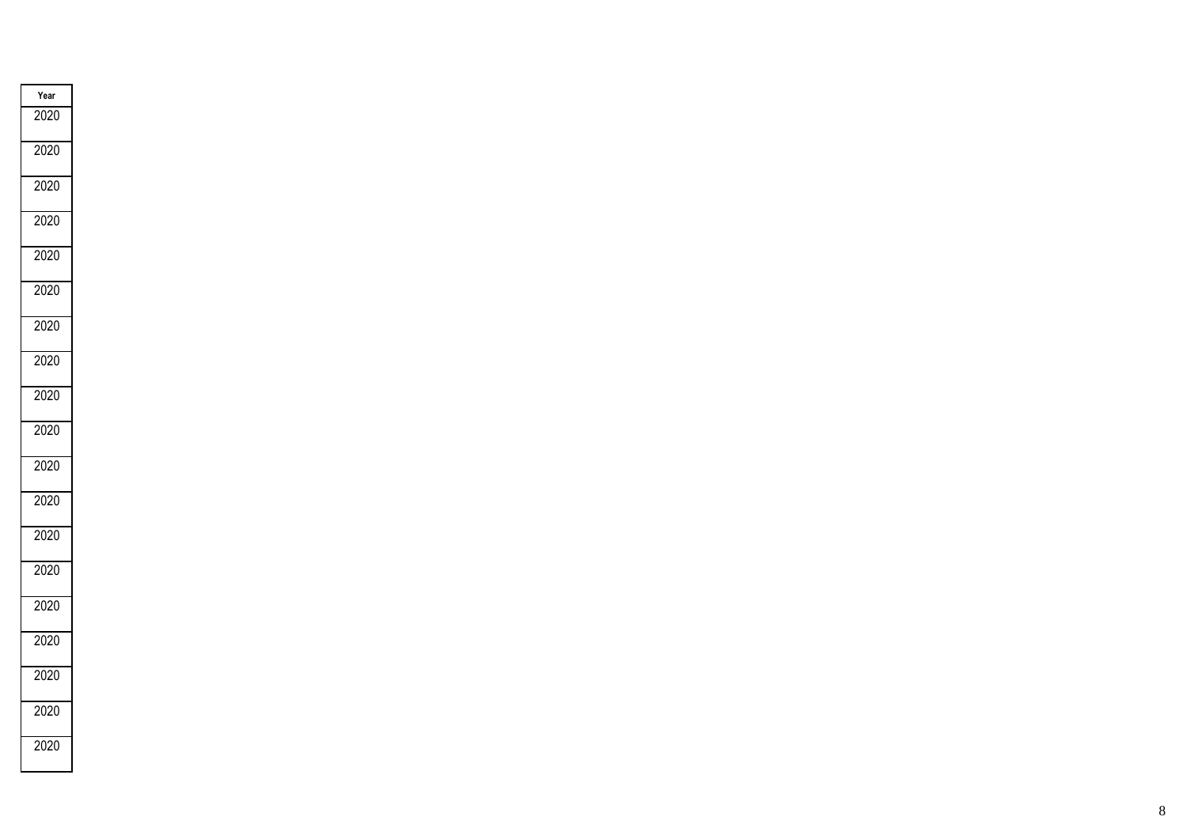| Year |  |
|------|--|
| 2020 |  |
| 2020 |  |
| 2020 |  |
| 2020 |  |
| 2020 |  |
| 2020 |  |
| 2020 |  |
| 2020 |  |
| 2020 |  |
| 2020 |  |
| 2020 |  |
| 2020 |  |
| 2020 |  |
| 2020 |  |
| 2020 |  |
| 2020 |  |
| 2020 |  |
| 2020 |  |
| 2020 |  |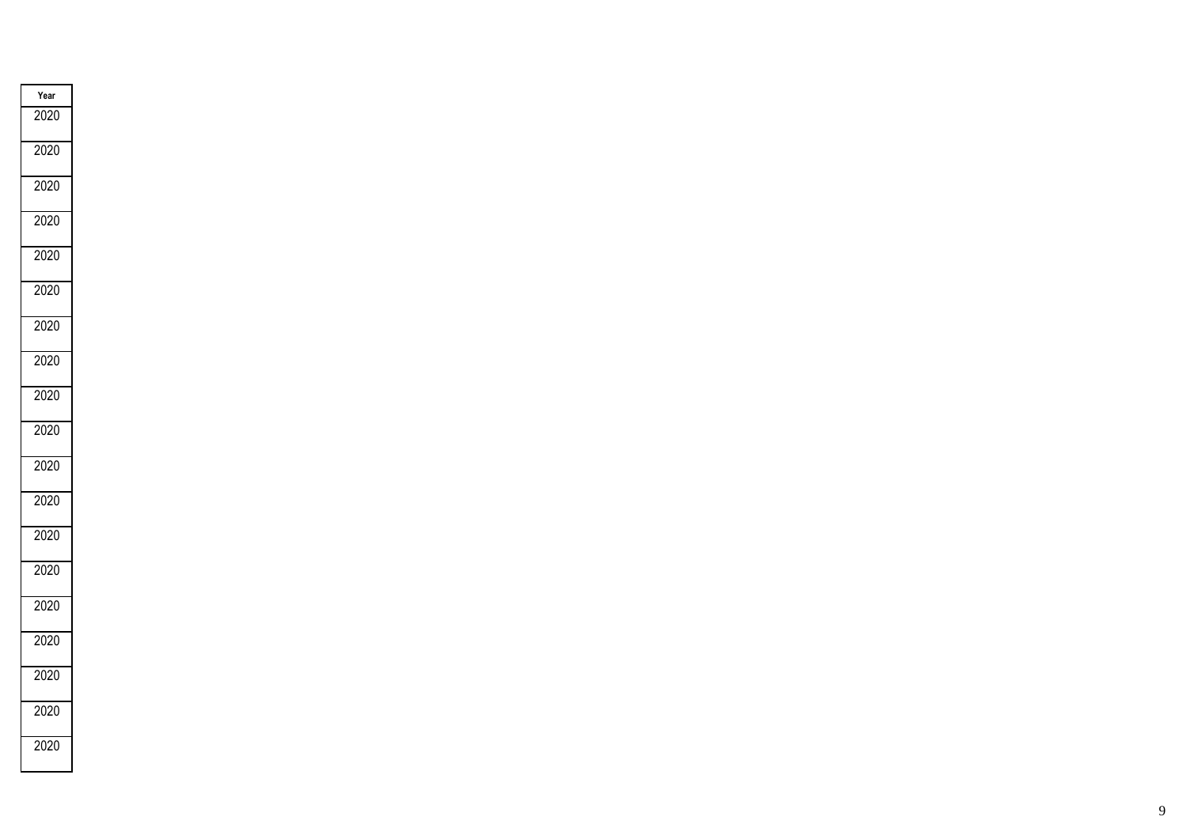| Year |  |
|------|--|
| 2020 |  |
| 2020 |  |
| 2020 |  |
| 2020 |  |
| 2020 |  |
| 2020 |  |
| 2020 |  |
| 2020 |  |
| 2020 |  |
| 2020 |  |
| 2020 |  |
| 2020 |  |
| 2020 |  |
| 2020 |  |
| 2020 |  |
| 2020 |  |
| 2020 |  |
| 2020 |  |
| 2020 |  |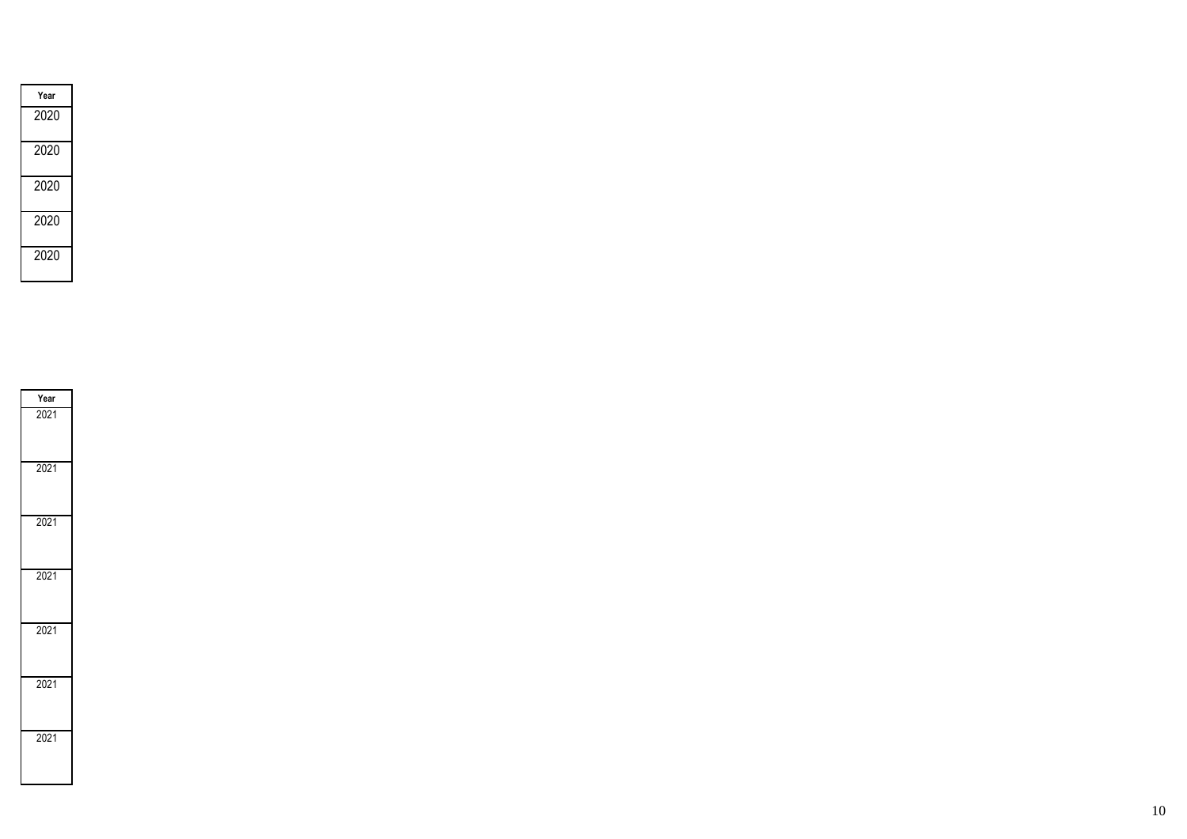| Year |
|------|
| 2020 |
| 2020 |
| 2020 |
| 2020 |
| 2020 |

| Year |
|------|
| 2021 |
| 2021 |
| 2021 |
| 2021 |
| 2021 |
| 2021 |
| 2021 |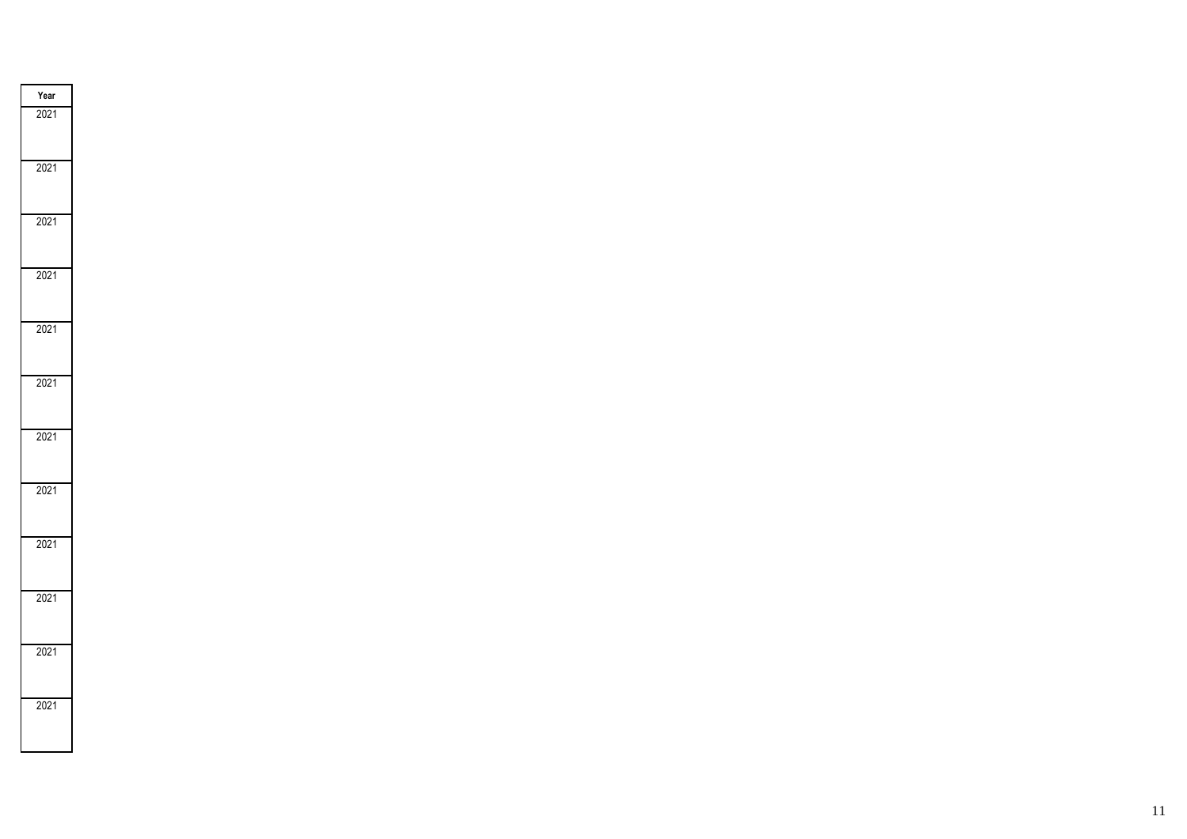| $\frac{Year}{2021}$ |  |
|---------------------|--|
|                     |  |
| 2021                |  |
| 2021                |  |
| 2021                |  |
| 2021                |  |
| 2021                |  |
| 2021                |  |
| 2021                |  |
| 2021                |  |
| 2021                |  |
| 2021                |  |
| 2021                |  |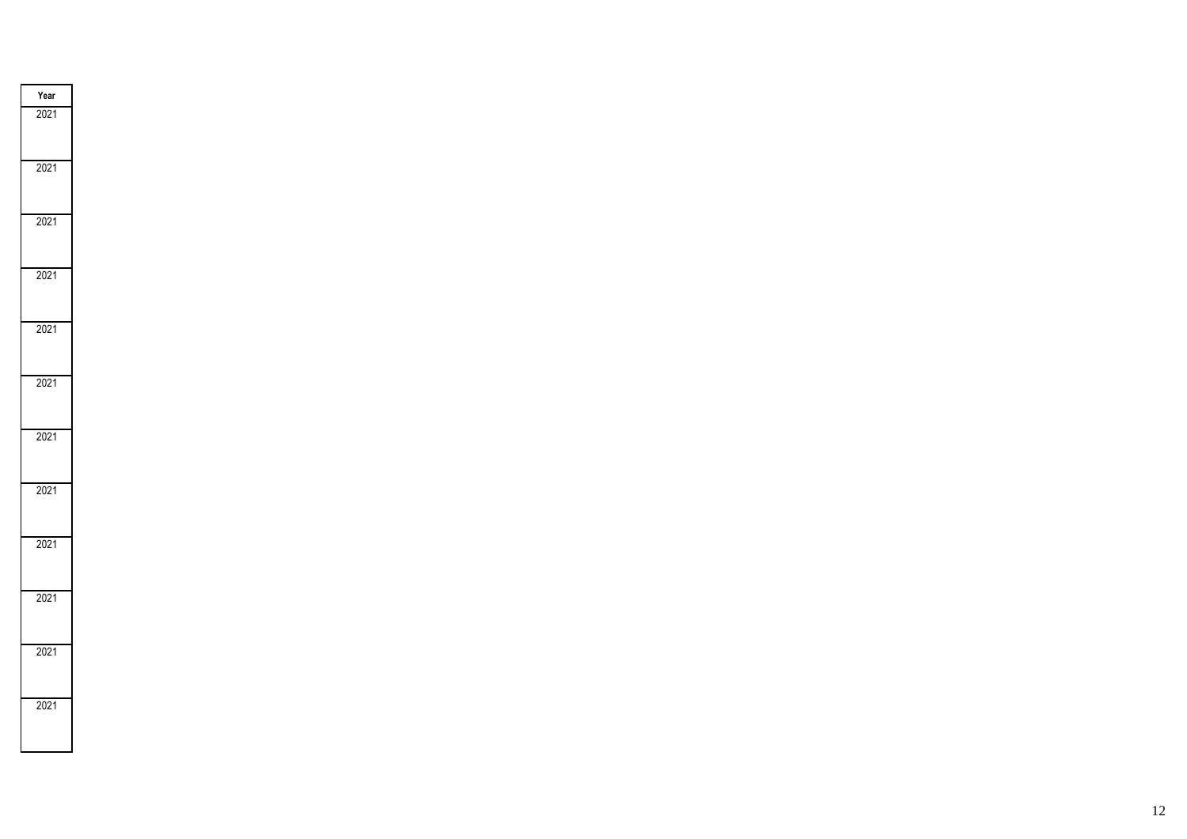| $\frac{Year}{2021}$ |  |
|---------------------|--|
|                     |  |
| 2021                |  |
| 2021                |  |
| 2021                |  |
| 2021                |  |
| 2021                |  |
| 2021                |  |
| 2021                |  |
| 2021                |  |
| 2021                |  |
| 2021                |  |
| 2021                |  |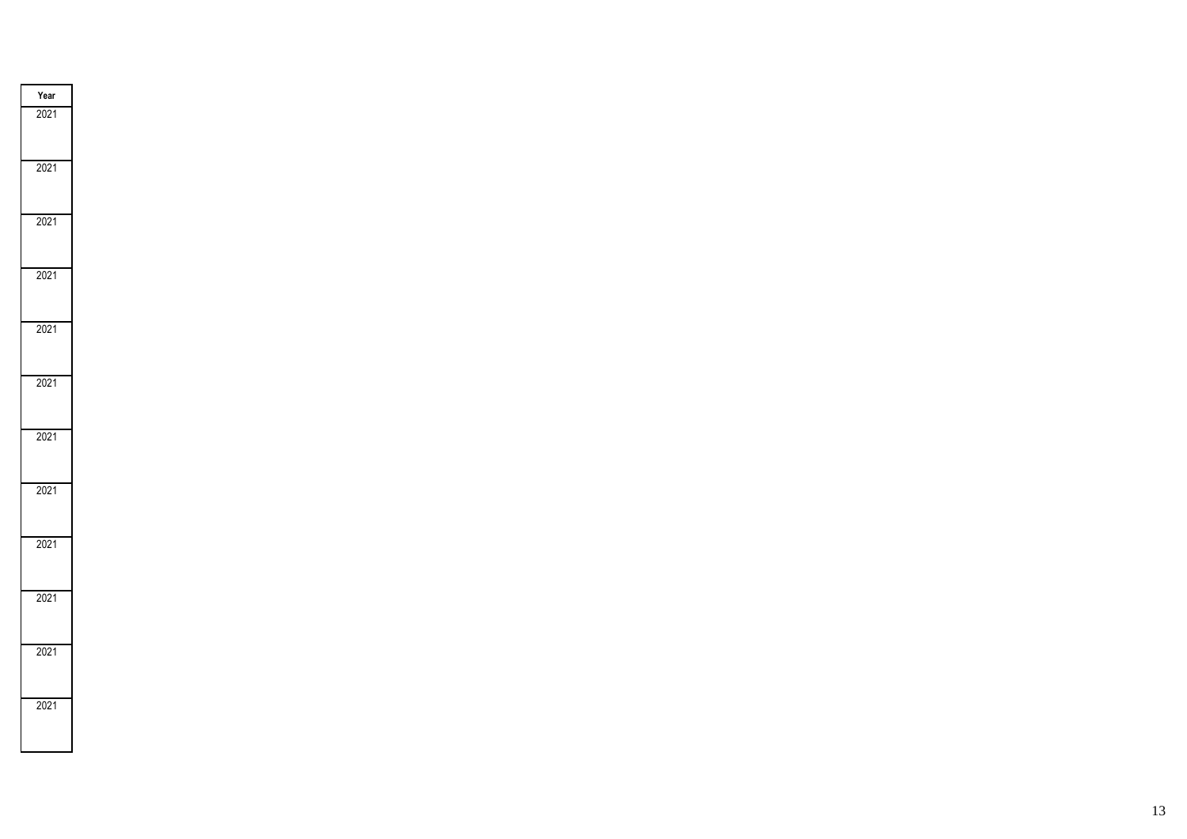| $\frac{Year}{2021}$ |  |
|---------------------|--|
|                     |  |
| 2021                |  |
| 2021                |  |
| 2021                |  |
| 2021                |  |
| 2021                |  |
| 2021                |  |
| 2021                |  |
| 2021                |  |
| 2021                |  |
| 2021                |  |
| 2021                |  |